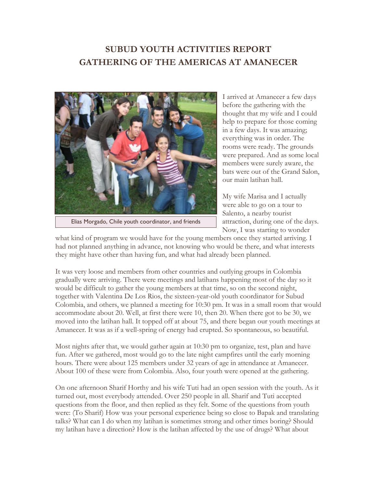## **SUBUD YOUTH ACTIVITIES REPORT GATHERING OF THE AMERICAS AT AMANECER**



Elias Morgado, Chile youth coordinator, and friends

I arrived at Amanecer a few days before the gathering with the thought that my wife and I could help to prepare for those coming in a few days. It was amazing; everything was in order. The rooms were ready. The grounds were prepared. And as some local members were surely aware, the bats were out of the Grand Salon, our main latihan hall.

My wife Marisa and I actually were able to go on a tour to Salento, a nearby tourist attraction, during one of the days. Now, I was starting to wonder

what kind of program we would have for the young members once they started arriving. I had not planned anything in advance, not knowing who would be there, and what interests they might have other than having fun, and what had already been planned.

It was very loose and members from other countries and outlying groups in Colombia gradually were arriving. There were meetings and latihans happening most of the day so it would be difficult to gather the young members at that time, so on the second night, together with Valentina De Los Rios, the sixteen-year-old youth coordinator for Subud Colombia, and others, we planned a meeting for 10:30 pm. It was in a small room that would accommodate about 20. Well, at first there were 10, then 20. When there got to be 30, we moved into the latihan hall. It topped off at about 75, and there began our youth meetings at Amanecer. It was as if a well-spring of energy had erupted. So spontaneous, so beautiful.

Most nights after that, we would gather again at 10:30 pm to organize, test, plan and have fun. After we gathered, most would go to the late night campfires until the early morning hours. There were about 125 members under 32 years of age in attendance at Amanecer. About 100 of these were from Colombia. Also, four youth were opened at the gathering.

On one afternoon Sharif Horthy and his wife Tuti had an open session with the youth. As it turned out, most everybody attended. Over 250 people in all. Sharif and Tuti accepted questions from the floor, and then replied as they felt. Some of the questions from youth were: (To Sharif) How was your personal experience being so close to Bapak and translating talks? What can I do when my latihan is sometimes strong and other times boring? Should my latihan have a direction? How is the latihan affected by the use of drugs? What about